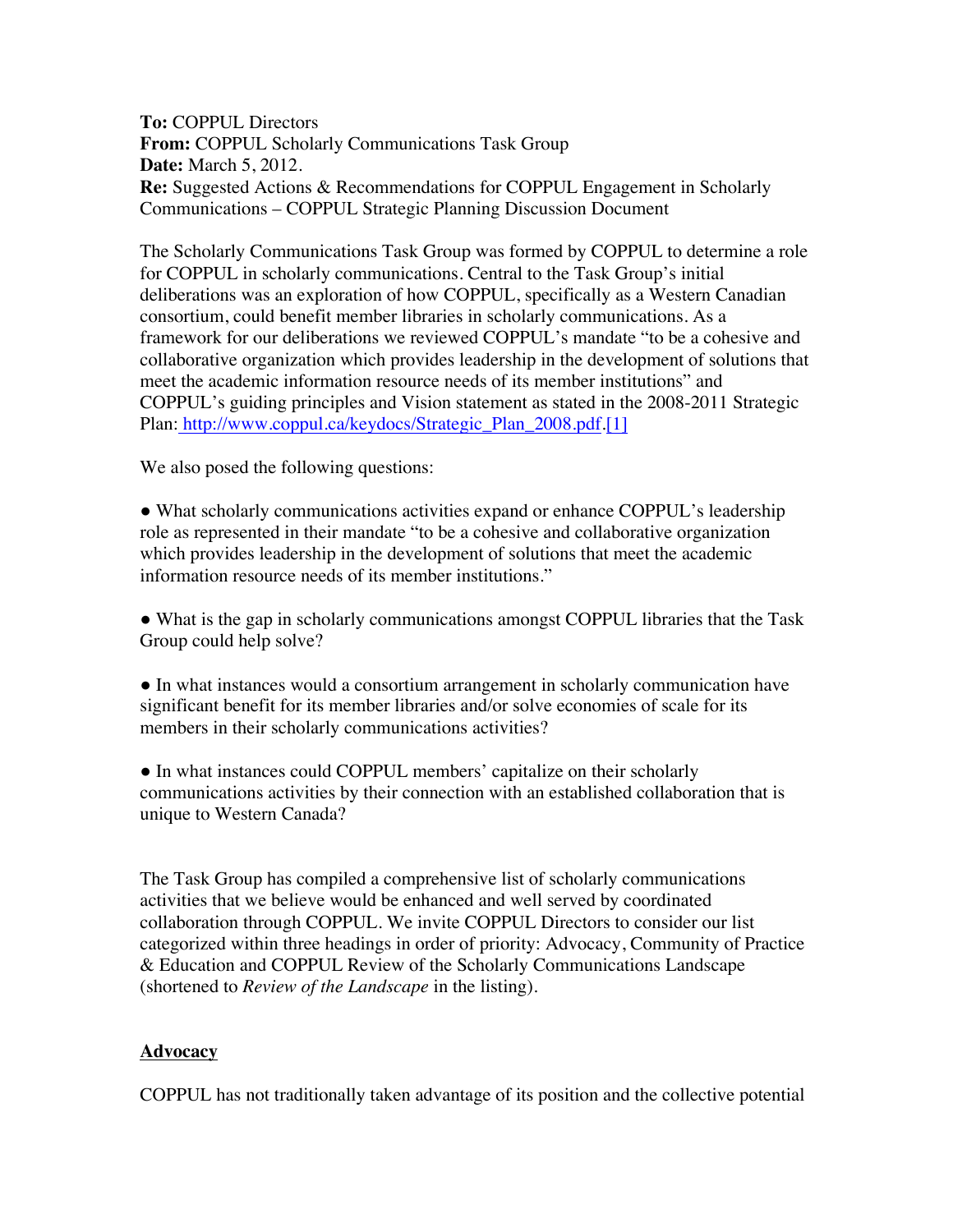**To:** COPPUL Directors **From:** COPPUL Scholarly Communications Task Group **Date:** March 5, 2012. **Re:** Suggested Actions & Recommendations for COPPUL Engagement in Scholarly Communications – COPPUL Strategic Planning Discussion Document

The Scholarly Communications Task Group was formed by COPPUL to determine a role for COPPUL in scholarly communications. Central to the Task Group's initial deliberations was an exploration of how COPPUL, specifically as a Western Canadian consortium, could benefit member libraries in scholarly communications. As a framework for our deliberations we reviewed COPPUL's mandate "to be a cohesive and collaborative organization which provides leadership in the development of solutions that meet the academic information resource needs of its member institutions" and COPPUL's guiding principles and Vision statement as stated in the 2008-2011 Strategic Plan: http://www.coppul.ca/keydocs/Strategic\_Plan\_2008.pdf.[1]

We also posed the following questions:

● What scholarly communications activities expand or enhance COPPUL's leadership role as represented in their mandate "to be a cohesive and collaborative organization which provides leadership in the development of solutions that meet the academic information resource needs of its member institutions."

● What is the gap in scholarly communications amongst COPPUL libraries that the Task Group could help solve?

● In what instances would a consortium arrangement in scholarly communication have significant benefit for its member libraries and/or solve economies of scale for its members in their scholarly communications activities?

● In what instances could COPPUL members' capitalize on their scholarly communications activities by their connection with an established collaboration that is unique to Western Canada?

The Task Group has compiled a comprehensive list of scholarly communications activities that we believe would be enhanced and well served by coordinated collaboration through COPPUL. We invite COPPUL Directors to consider our list categorized within three headings in order of priority: Advocacy, Community of Practice & Education and COPPUL Review of the Scholarly Communications Landscape (shortened to *Review of the Landscape* in the listing).

# **Advocacy**

COPPUL has not traditionally taken advantage of its position and the collective potential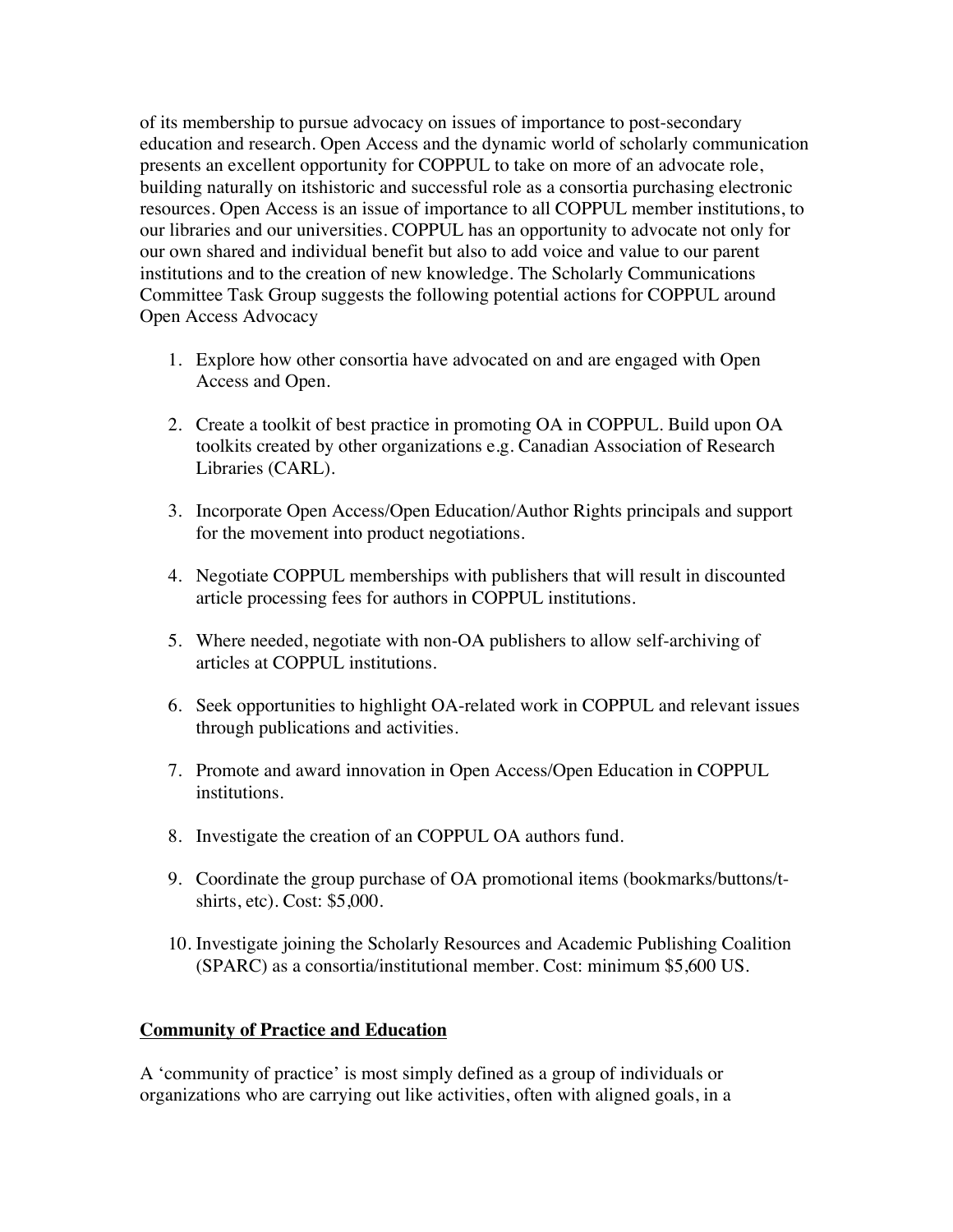of its membership to pursue advocacy on issues of importance to post-secondary education and research. Open Access and the dynamic world of scholarly communication presents an excellent opportunity for COPPUL to take on more of an advocate role, building naturally on itshistoric and successful role as a consortia purchasing electronic resources. Open Access is an issue of importance to all COPPUL member institutions, to our libraries and our universities. COPPUL has an opportunity to advocate not only for our own shared and individual benefit but also to add voice and value to our parent institutions and to the creation of new knowledge. The Scholarly Communications Committee Task Group suggests the following potential actions for COPPUL around Open Access Advocacy

- 1. Explore how other consortia have advocated on and are engaged with Open Access and Open.
- 2. Create a toolkit of best practice in promoting OA in COPPUL. Build upon OA toolkits created by other organizations e.g. Canadian Association of Research Libraries (CARL).
- 3. Incorporate Open Access/Open Education/Author Rights principals and support for the movement into product negotiations.
- 4. Negotiate COPPUL memberships with publishers that will result in discounted article processing fees for authors in COPPUL institutions.
- 5. Where needed, negotiate with non-OA publishers to allow self-archiving of articles at COPPUL institutions.
- 6. Seek opportunities to highlight OA-related work in COPPUL and relevant issues through publications and activities.
- 7. Promote and award innovation in Open Access/Open Education in COPPUL institutions.
- 8. Investigate the creation of an COPPUL OA authors fund.
- 9. Coordinate the group purchase of OA promotional items (bookmarks/buttons/tshirts, etc). Cost: \$5,000.
- 10. Investigate joining the Scholarly Resources and Academic Publishing Coalition (SPARC) as a consortia/institutional member. Cost: minimum \$5,600 US.

# **Community of Practice and Education**

A 'community of practice' is most simply defined as a group of individuals or organizations who are carrying out like activities, often with aligned goals, in a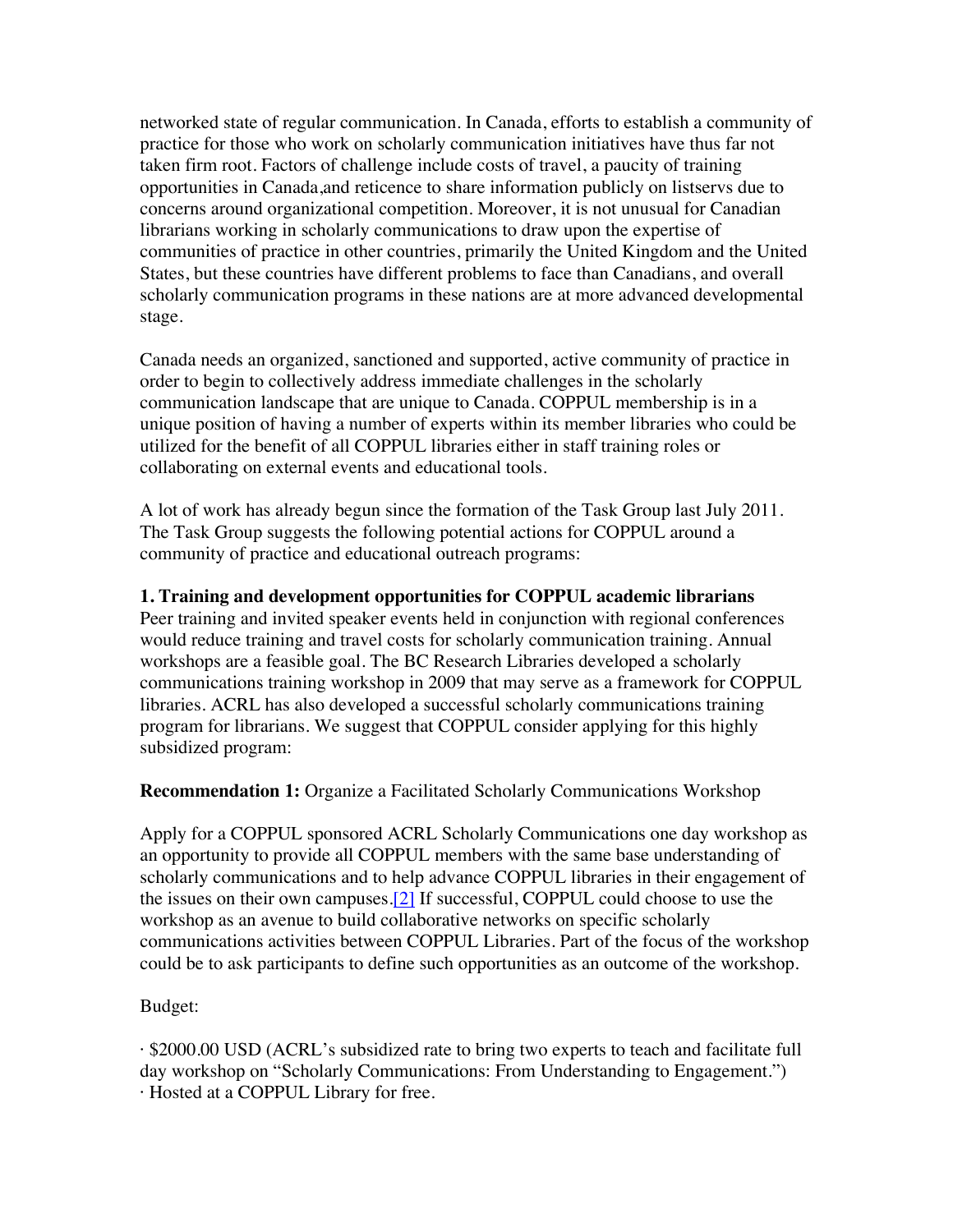networked state of regular communication. In Canada, efforts to establish a community of practice for those who work on scholarly communication initiatives have thus far not taken firm root. Factors of challenge include costs of travel, a paucity of training opportunities in Canada,and reticence to share information publicly on listservs due to concerns around organizational competition. Moreover, it is not unusual for Canadian librarians working in scholarly communications to draw upon the expertise of communities of practice in other countries, primarily the United Kingdom and the United States, but these countries have different problems to face than Canadians, and overall scholarly communication programs in these nations are at more advanced developmental stage.

Canada needs an organized, sanctioned and supported, active community of practice in order to begin to collectively address immediate challenges in the scholarly communication landscape that are unique to Canada. COPPUL membership is in a unique position of having a number of experts within its member libraries who could be utilized for the benefit of all COPPUL libraries either in staff training roles or collaborating on external events and educational tools.

A lot of work has already begun since the formation of the Task Group last July 2011. The Task Group suggests the following potential actions for COPPUL around a community of practice and educational outreach programs:

### **1. Training and development opportunities for COPPUL academic librarians**

Peer training and invited speaker events held in conjunction with regional conferences would reduce training and travel costs for scholarly communication training. Annual workshops are a feasible goal. The BC Research Libraries developed a scholarly communications training workshop in 2009 that may serve as a framework for COPPUL libraries. ACRL has also developed a successful scholarly communications training program for librarians. We suggest that COPPUL consider applying for this highly subsidized program:

### **Recommendation 1:** Organize a Facilitated Scholarly Communications Workshop

Apply for a COPPUL sponsored ACRL Scholarly Communications one day workshop as an opportunity to provide all COPPUL members with the same base understanding of scholarly communications and to help advance COPPUL libraries in their engagement of the issues on their own campuses.[2] If successful, COPPUL could choose to use the workshop as an avenue to build collaborative networks on specific scholarly communications activities between COPPUL Libraries. Part of the focus of the workshop could be to ask participants to define such opportunities as an outcome of the workshop.

# Budget:

· \$2000.00 USD (ACRL's subsidized rate to bring two experts to teach and facilitate full day workshop on "Scholarly Communications: From Understanding to Engagement.") · Hosted at a COPPUL Library for free.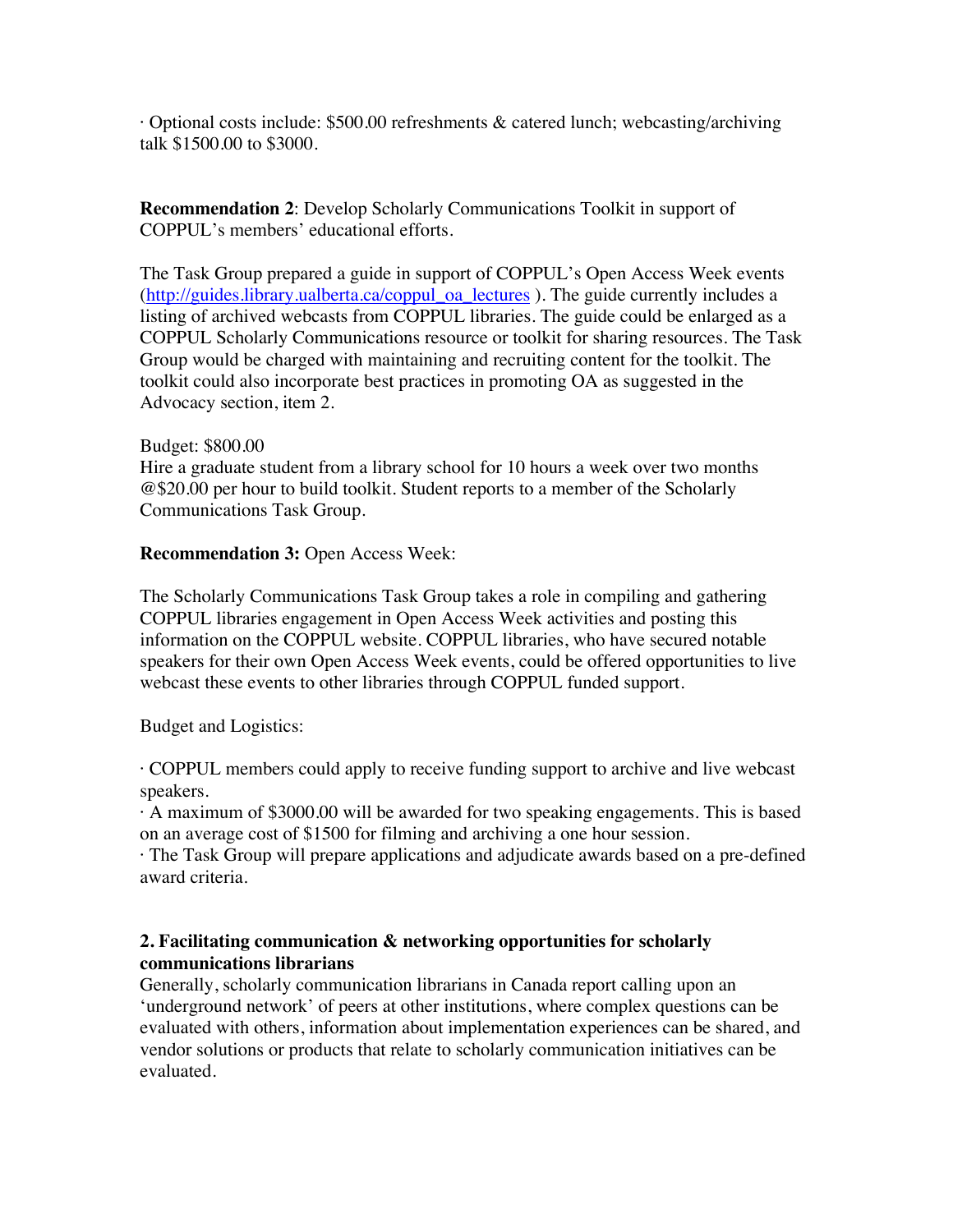· Optional costs include: \$500.00 refreshments & catered lunch; webcasting/archiving talk \$1500.00 to \$3000.

**Recommendation 2**: Develop Scholarly Communications Toolkit in support of COPPUL's members' educational efforts.

The Task Group prepared a guide in support of COPPUL's Open Access Week events (http://guides.library.ualberta.ca/coppul\_oa\_lectures ). The guide currently includes a listing of archived webcasts from COPPUL libraries. The guide could be enlarged as a COPPUL Scholarly Communications resource or toolkit for sharing resources. The Task Group would be charged with maintaining and recruiting content for the toolkit. The toolkit could also incorporate best practices in promoting OA as suggested in the Advocacy section, item 2.

## Budget: \$800.00

Hire a graduate student from a library school for 10 hours a week over two months @\$20.00 per hour to build toolkit. Student reports to a member of the Scholarly Communications Task Group.

### **Recommendation 3: Open Access Week:**

The Scholarly Communications Task Group takes a role in compiling and gathering COPPUL libraries engagement in Open Access Week activities and posting this information on the COPPUL website. COPPUL libraries, who have secured notable speakers for their own Open Access Week events, could be offered opportunities to live webcast these events to other libraries through COPPUL funded support.

# Budget and Logistics:

· COPPUL members could apply to receive funding support to archive and live webcast speakers.

· A maximum of \$3000.00 will be awarded for two speaking engagements. This is based on an average cost of \$1500 for filming and archiving a one hour session.

· The Task Group will prepare applications and adjudicate awards based on a pre-defined award criteria.

# **2. Facilitating communication & networking opportunities for scholarly communications librarians**

Generally, scholarly communication librarians in Canada report calling upon an 'underground network' of peers at other institutions, where complex questions can be evaluated with others, information about implementation experiences can be shared, and vendor solutions or products that relate to scholarly communication initiatives can be evaluated.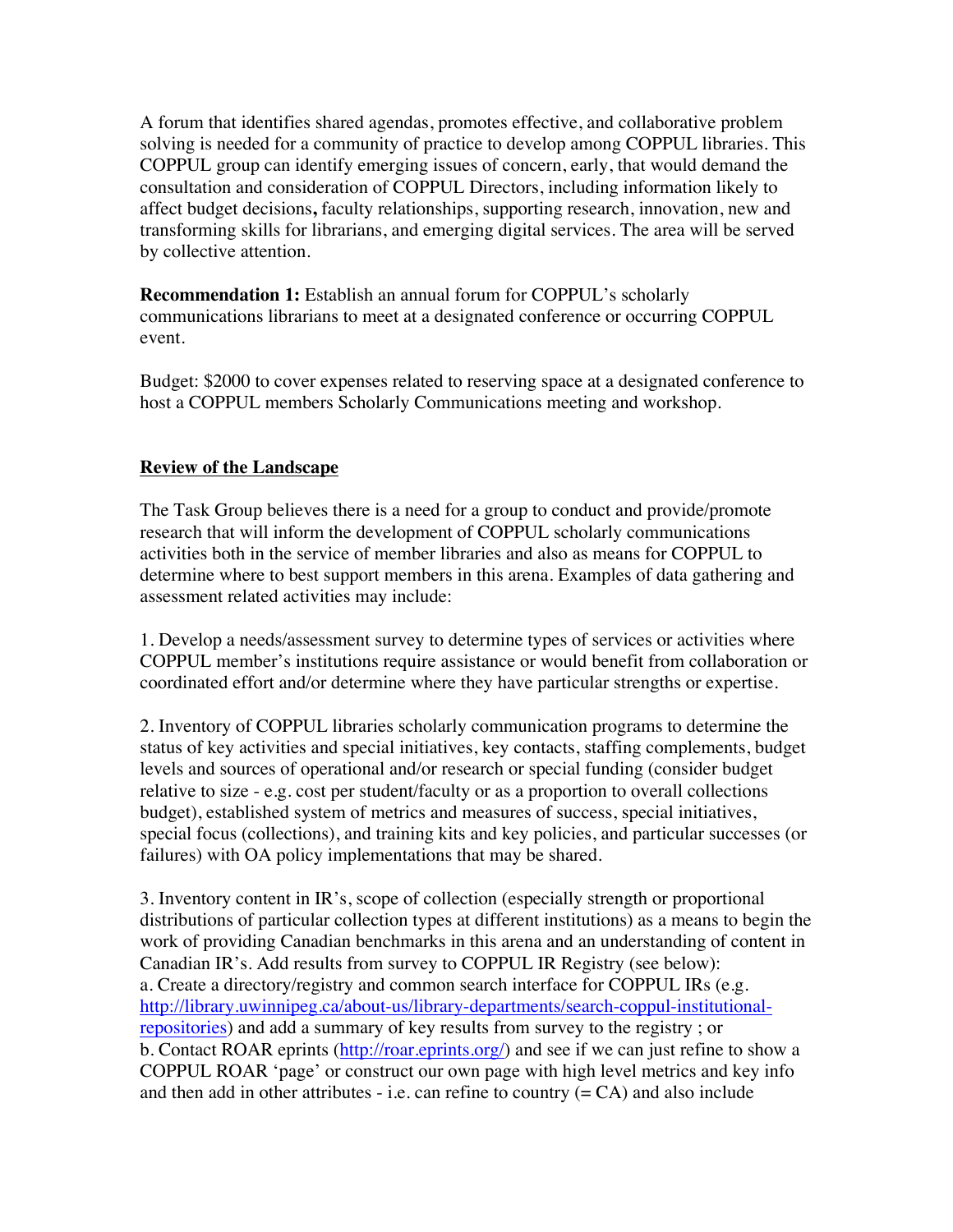A forum that identifies shared agendas, promotes effective, and collaborative problem solving is needed for a community of practice to develop among COPPUL libraries. This COPPUL group can identify emerging issues of concern, early, that would demand the consultation and consideration of COPPUL Directors, including information likely to affect budget decisions**,** faculty relationships, supporting research, innovation, new and transforming skills for librarians, and emerging digital services. The area will be served by collective attention.

**Recommendation 1:** Establish an annual forum for COPPUL's scholarly communications librarians to meet at a designated conference or occurring COPPUL event.

Budget: \$2000 to cover expenses related to reserving space at a designated conference to host a COPPUL members Scholarly Communications meeting and workshop.

# **Review of the Landscape**

The Task Group believes there is a need for a group to conduct and provide/promote research that will inform the development of COPPUL scholarly communications activities both in the service of member libraries and also as means for COPPUL to determine where to best support members in this arena. Examples of data gathering and assessment related activities may include:

1. Develop a needs/assessment survey to determine types of services or activities where COPPUL member's institutions require assistance or would benefit from collaboration or coordinated effort and/or determine where they have particular strengths or expertise.

2. Inventory of COPPUL libraries scholarly communication programs to determine the status of key activities and special initiatives, key contacts, staffing complements, budget levels and sources of operational and/or research or special funding (consider budget relative to size - e.g. cost per student/faculty or as a proportion to overall collections budget), established system of metrics and measures of success, special initiatives, special focus (collections), and training kits and key policies, and particular successes (or failures) with OA policy implementations that may be shared.

3. Inventory content in IR's, scope of collection (especially strength or proportional distributions of particular collection types at different institutions) as a means to begin the work of providing Canadian benchmarks in this arena and an understanding of content in Canadian IR's. Add results from survey to COPPUL IR Registry (see below): a. Create a directory/registry and common search interface for COPPUL IRs (e.g. http://library.uwinnipeg.ca/about-us/library-departments/search-coppul-institutionalrepositories) and add a summary of key results from survey to the registry ; or b. Contact ROAR eprints (http://roar.eprints.org/) and see if we can just refine to show a COPPUL ROAR 'page' or construct our own page with high level metrics and key info and then add in other attributes - i.e. can refine to country  $(= CA)$  and also include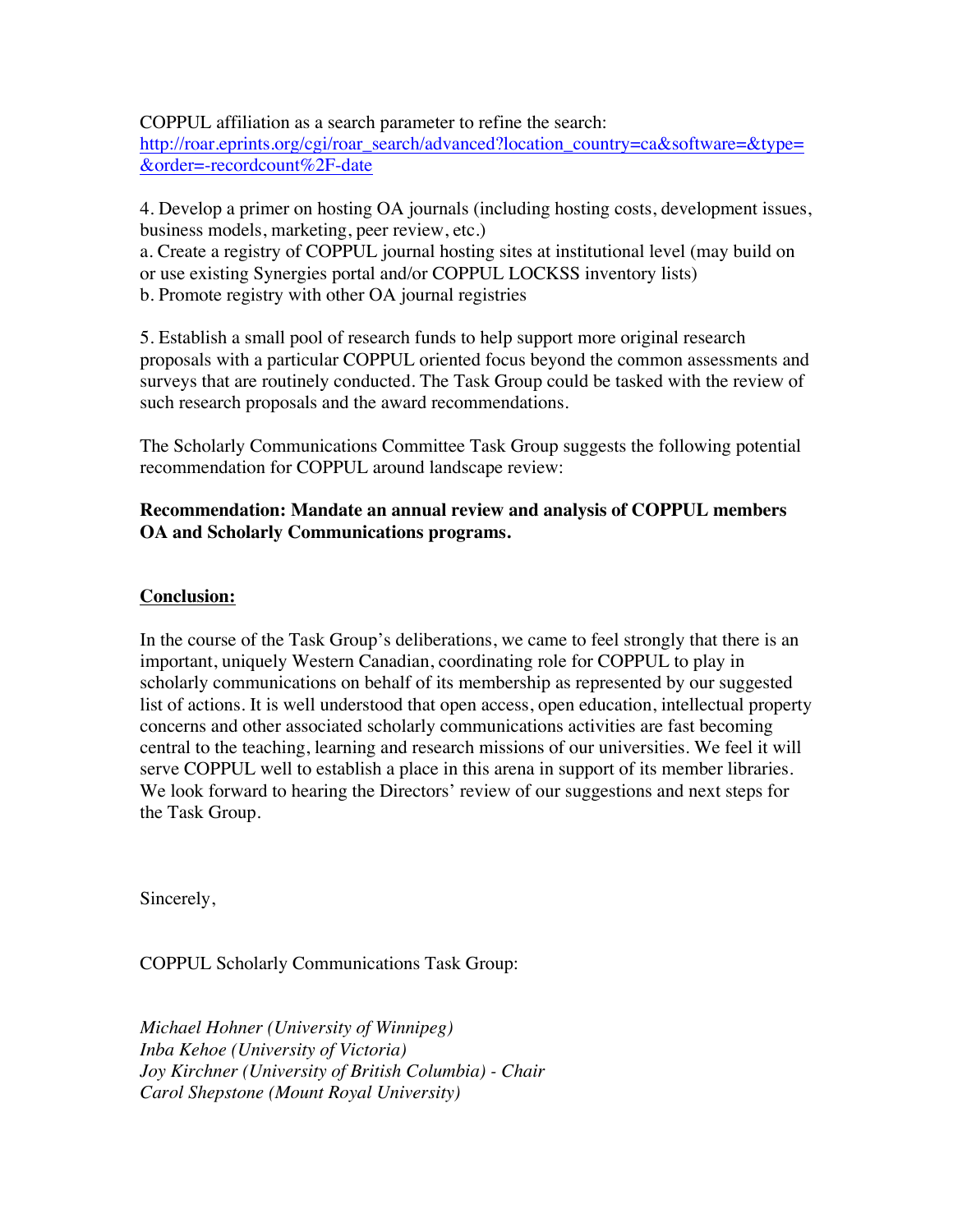COPPUL affiliation as a search parameter to refine the search: http://roar.eprints.org/cgi/roar\_search/advanced?location\_country=ca&software=&type= &order=-recordcount%2F-date

4. Develop a primer on hosting OA journals (including hosting costs, development issues, business models, marketing, peer review, etc.) a. Create a registry of COPPUL journal hosting sites at institutional level (may build on or use existing Synergies portal and/or COPPUL LOCKSS inventory lists) b. Promote registry with other OA journal registries

5. Establish a small pool of research funds to help support more original research proposals with a particular COPPUL oriented focus beyond the common assessments and surveys that are routinely conducted. The Task Group could be tasked with the review of such research proposals and the award recommendations.

The Scholarly Communications Committee Task Group suggests the following potential recommendation for COPPUL around landscape review:

# **Recommendation: Mandate an annual review and analysis of COPPUL members OA and Scholarly Communications programs.**

# **Conclusion:**

In the course of the Task Group's deliberations, we came to feel strongly that there is an important, uniquely Western Canadian, coordinating role for COPPUL to play in scholarly communications on behalf of its membership as represented by our suggested list of actions. It is well understood that open access, open education, intellectual property concerns and other associated scholarly communications activities are fast becoming central to the teaching, learning and research missions of our universities. We feel it will serve COPPUL well to establish a place in this arena in support of its member libraries. We look forward to hearing the Directors' review of our suggestions and next steps for the Task Group.

Sincerely,

COPPUL Scholarly Communications Task Group:

*Michael Hohner (University of Winnipeg) Inba Kehoe (University of Victoria) Joy Kirchner (University of British Columbia) - Chair Carol Shepstone (Mount Royal University)*